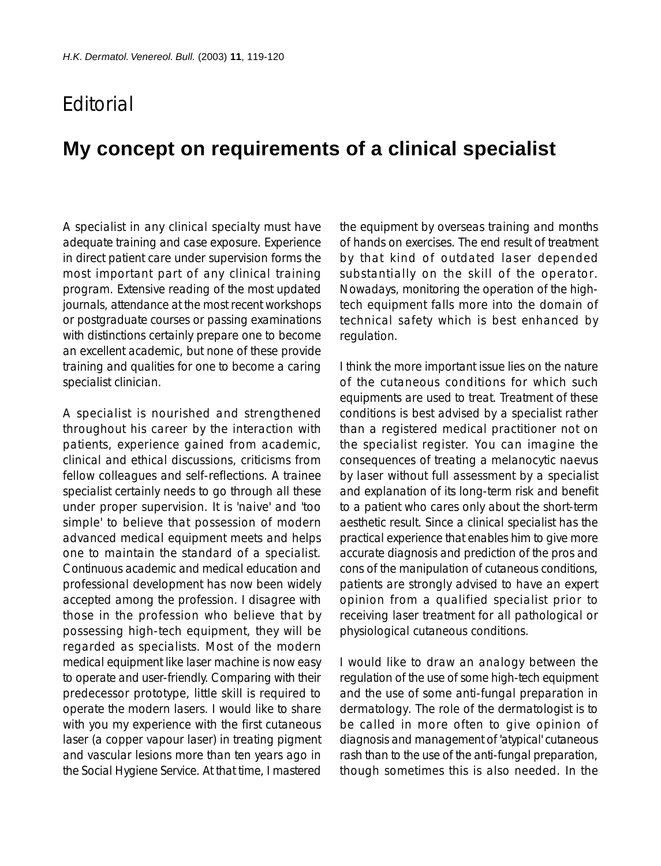## Editorial

## **My concept on requirements of a clinical specialist**

A specialist in any clinical specialty must have adequate training and case exposure. Experience in direct patient care under supervision forms the most important part of any clinical training program. Extensive reading of the most updated journals, attendance at the most recent workshops or postgraduate courses or passing examinations with distinctions certainly prepare one to become an excellent academic, but none of these provide training and qualities for one to become a caring specialist clinician.

A specialist is nourished and strengthened throughout his career by the interaction with patients, experience gained from academic, clinical and ethical discussions, criticisms from fellow colleagues and self-reflections. A trainee specialist certainly needs to go through all these under proper supervision. It is 'naive' and 'too simple' to believe that possession of modern advanced medical equipment meets and helps one to maintain the standard of a specialist. Continuous academic and medical education and professional development has now been widely accepted among the profession. I disagree with those in the profession who believe that by possessing high-tech equipment, they will be regarded as specialists. Most of the modern medical equipment like laser machine is now easy to operate and user-friendly. Comparing with their predecessor prototype, little skill is required to operate the modern lasers. I would like to share with you my experience with the first cutaneous laser (a copper vapour laser) in treating pigment and vascular lesions more than ten years ago in the Social Hygiene Service. At that time, I mastered

the equipment by overseas training and months of hands on exercises. The end result of treatment by that kind of outdated laser depended substantially on the skill of the operator. Nowadays, monitoring the operation of the hightech equipment falls more into the domain of technical safety which is best enhanced by regulation.

I think the more important issue lies on the nature of the cutaneous conditions for which such equipments are used to treat. Treatment of these conditions is best advised by a specialist rather than a registered medical practitioner not on the specialist register. You can imagine the consequences of treating a melanocytic naevus by laser without full assessment by a specialist and explanation of its long-term risk and benefit to a patient who cares only about the short-term aesthetic result. Since a clinical specialist has the practical experience that enables him to give more accurate diagnosis and prediction of the pros and cons of the manipulation of cutaneous conditions, patients are strongly advised to have an expert opinion from a qualified specialist prior to receiving laser treatment for all pathological or physiological cutaneous conditions.

I would like to draw an analogy between the regulation of the use of some high-tech equipment and the use of some anti-fungal preparation in dermatology. The role of the dermatologist is to be called in more often to give opinion of diagnosis and management of 'atypical' cutaneous rash than to the use of the anti-fungal preparation, though sometimes this is also needed. In the